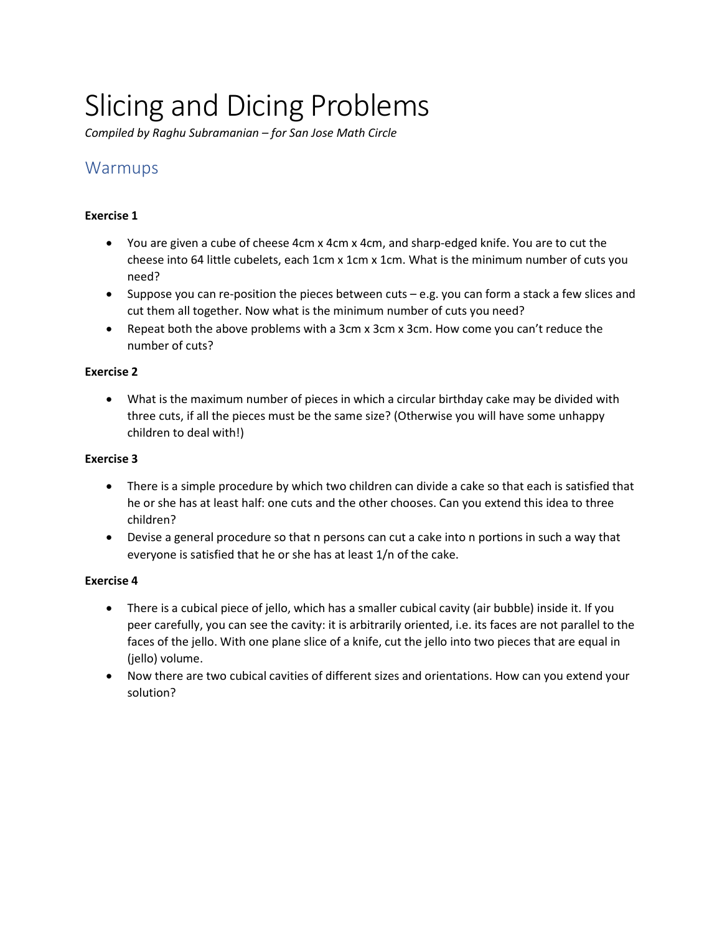# Slicing and Dicing Problems

Compiled by Raghu Subramanian – for San Jose Math Circle

# Warmups

# Exercise 1

- You are given a cube of cheese 4cm x 4cm x 4cm, and sharp-edged knife. You are to cut the cheese into 64 little cubelets, each 1cm x 1cm x 1cm. What is the minimum number of cuts you need?
- $\bullet$  Suppose you can re-position the pieces between cuts e.g. you can form a stack a few slices and cut them all together. Now what is the minimum number of cuts you need?
- Repeat both the above problems with a 3cm x 3cm x 3cm. How come you can't reduce the number of cuts?

# Exercise 2

 What is the maximum number of pieces in which a circular birthday cake may be divided with three cuts, if all the pieces must be the same size? (Otherwise you will have some unhappy children to deal with!)

# Exercise 3

- There is a simple procedure by which two children can divide a cake so that each is satisfied that he or she has at least half: one cuts and the other chooses. Can you extend this idea to three children?
- Devise a general procedure so that n persons can cut a cake into n portions in such a way that everyone is satisfied that he or she has at least 1/n of the cake.

# Exercise 4

- There is a cubical piece of jello, which has a smaller cubical cavity (air bubble) inside it. If you peer carefully, you can see the cavity: it is arbitrarily oriented, i.e. its faces are not parallel to the faces of the jello. With one plane slice of a knife, cut the jello into two pieces that are equal in (jello) volume.
- Now there are two cubical cavities of different sizes and orientations. How can you extend your solution?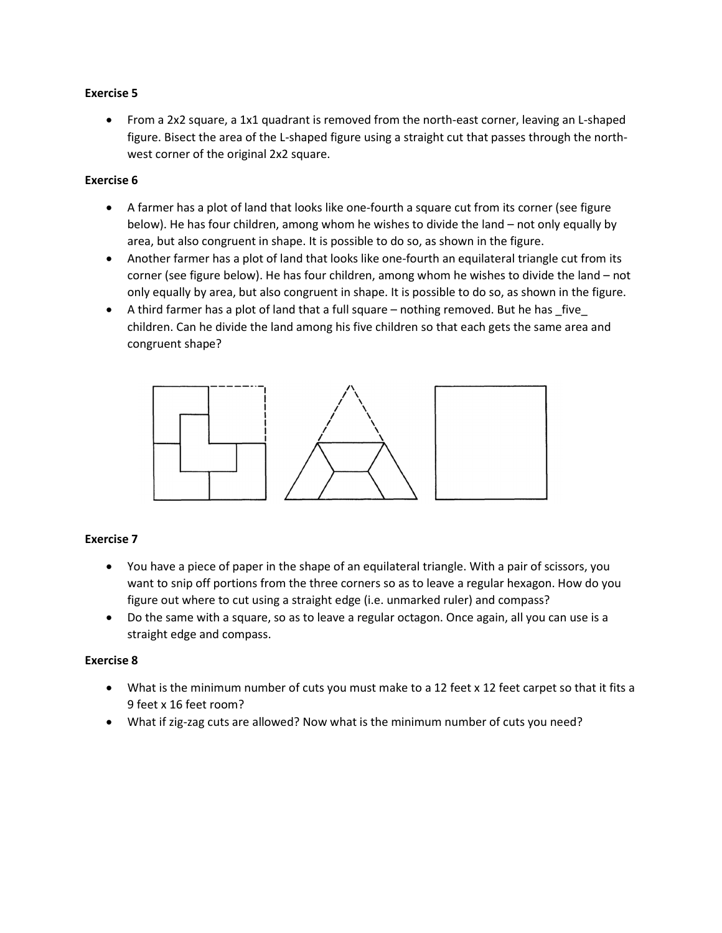## Exercise 5

 From a 2x2 square, a 1x1 quadrant is removed from the north-east corner, leaving an L-shaped figure. Bisect the area of the L-shaped figure using a straight cut that passes through the northwest corner of the original 2x2 square.

#### Exercise 6

- A farmer has a plot of land that looks like one-fourth a square cut from its corner (see figure below). He has four children, among whom he wishes to divide the land – not only equally by area, but also congruent in shape. It is possible to do so, as shown in the figure.
- Another farmer has a plot of land that looks like one-fourth an equilateral triangle cut from its corner (see figure below). He has four children, among whom he wishes to divide the land – not only equally by area, but also congruent in shape. It is possible to do so, as shown in the figure.
- A third farmer has a plot of land that a full square nothing removed. But he has \_five\_ children. Can he divide the land among his five children so that each gets the same area and congruent shape?



## Exercise 7

- You have a piece of paper in the shape of an equilateral triangle. With a pair of scissors, you want to snip off portions from the three corners so as to leave a regular hexagon. How do you figure out where to cut using a straight edge (i.e. unmarked ruler) and compass?
- Do the same with a square, so as to leave a regular octagon. Once again, all you can use is a straight edge and compass.

## Exercise 8

- What is the minimum number of cuts you must make to a 12 feet x 12 feet carpet so that it fits a 9 feet x 16 feet room?
- What if zig-zag cuts are allowed? Now what is the minimum number of cuts you need?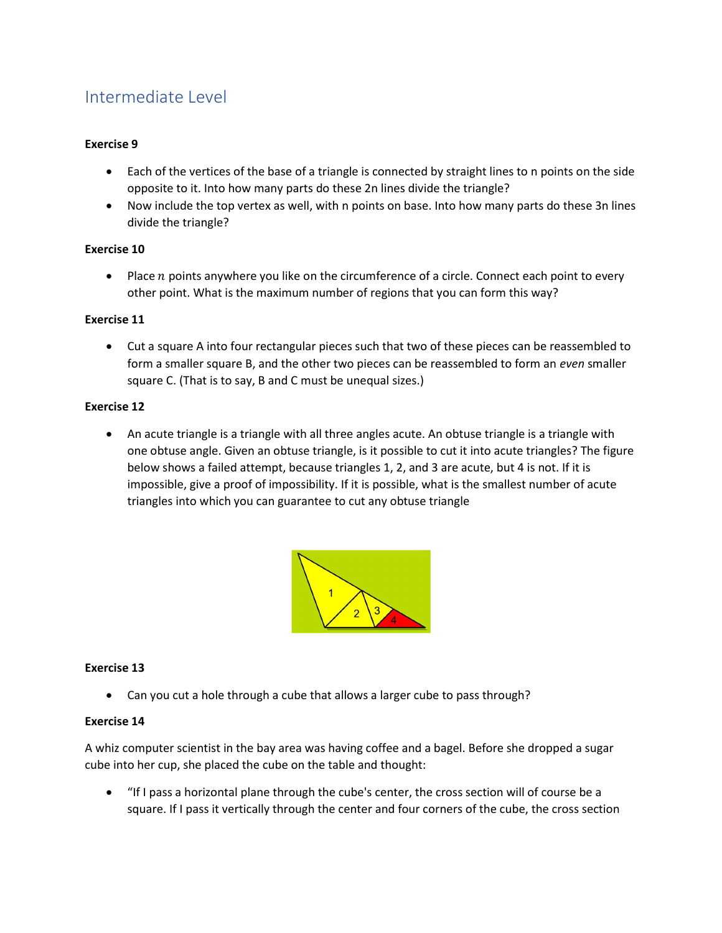# Intermediate Level

## Exercise 9

- Each of the vertices of the base of a triangle is connected by straight lines to n points on the side opposite to it. Into how many parts do these 2n lines divide the triangle?
- Now include the top vertex as well, with n points on base. Into how many parts do these 3n lines divide the triangle?

## Exercise 10

• Place  $n$  points anywhere you like on the circumference of a circle. Connect each point to every other point. What is the maximum number of regions that you can form this way?

# Exercise 11

 Cut a square A into four rectangular pieces such that two of these pieces can be reassembled to form a smaller square B, and the other two pieces can be reassembled to form an even smaller square C. (That is to say, B and C must be unequal sizes.)

## Exercise 12

 An acute triangle is a triangle with all three angles acute. An obtuse triangle is a triangle with one obtuse angle. Given an obtuse triangle, is it possible to cut it into acute triangles? The figure below shows a failed attempt, because triangles 1, 2, and 3 are acute, but 4 is not. If it is impossible, give a proof of impossibility. If it is possible, what is the smallest number of acute triangles into which you can guarantee to cut any obtuse triangle



## Exercise 13

Can you cut a hole through a cube that allows a larger cube to pass through?

## Exercise 14

A whiz computer scientist in the bay area was having coffee and a bagel. Before she dropped a sugar cube into her cup, she placed the cube on the table and thought:

 "If I pass a horizontal plane through the cube's center, the cross section will of course be a square. If I pass it vertically through the center and four corners of the cube, the cross section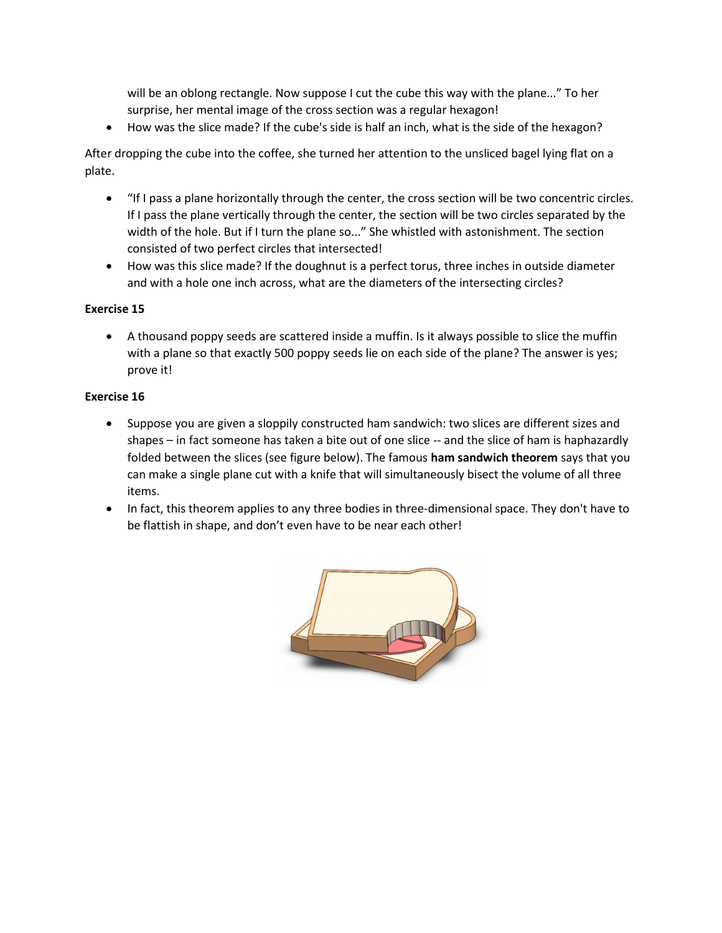will be an oblong rectangle. Now suppose I cut the cube this way with the plane..." To her surprise, her mental image of the cross section was a regular hexagon!

How was the slice made? If the cube's side is half an inch, what is the side of the hexagon?

After dropping the cube into the coffee, she turned her attention to the unsliced bagel lying flat on a plate.

- "If I pass a plane horizontally through the center, the cross section will be two concentric circles. If I pass the plane vertically through the center, the section will be two circles separated by the width of the hole. But if I turn the plane so..." She whistled with astonishment. The section consisted of two perfect circles that intersected!
- How was this slice made? If the doughnut is a perfect torus, three inches in outside diameter and with a hole one inch across, what are the diameters of the intersecting circles?

# Exercise 15

 A thousand poppy seeds are scattered inside a muffin. Is it always possible to slice the muffin with a plane so that exactly 500 poppy seeds lie on each side of the plane? The answer is yes; prove it!

# Exercise 16

- Suppose you are given a sloppily constructed ham sandwich: two slices are different sizes and shapes – in fact someone has taken a bite out of one slice -- and the slice of ham is haphazardly folded between the slices (see figure below). The famous ham sandwich theorem says that you can make a single plane cut with a knife that will simultaneously bisect the volume of all three items.
- In fact, this theorem applies to any three bodies in three-dimensional space. They don't have to be flattish in shape, and don't even have to be near each other!